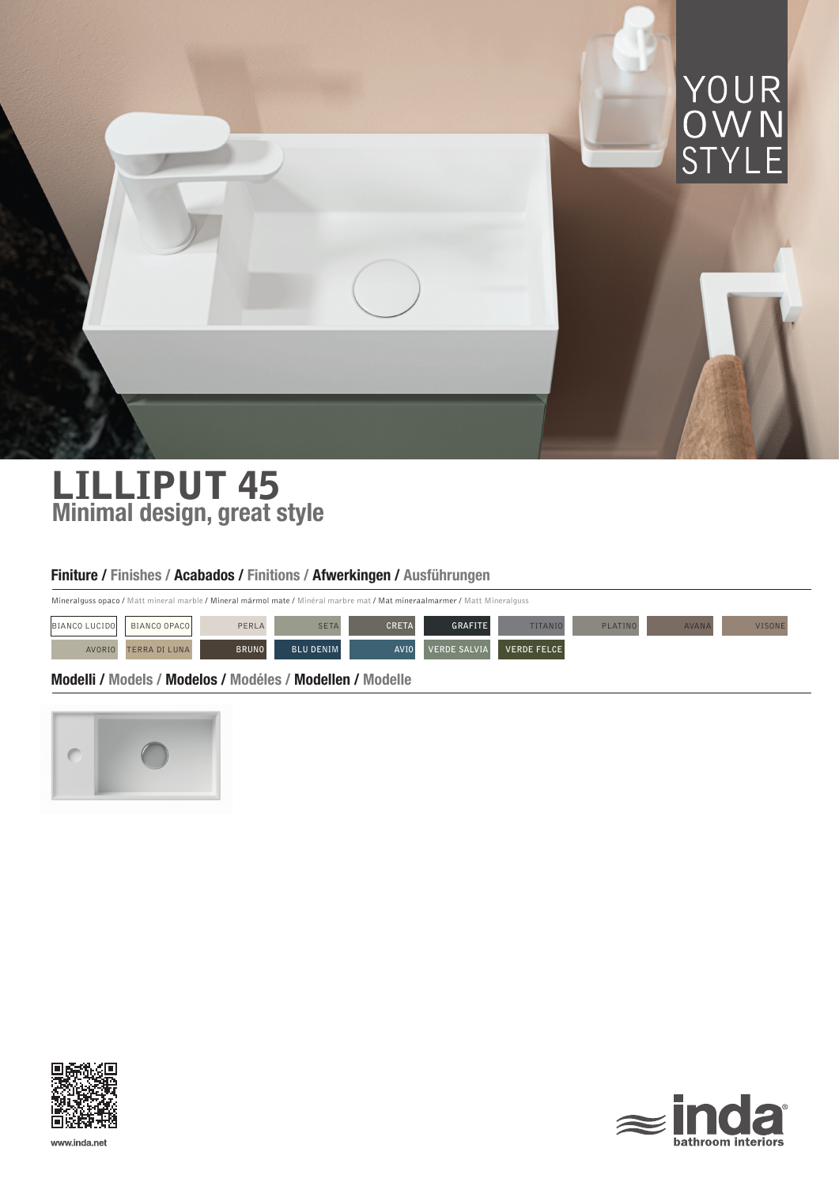

# LILLIPUT 45 Minimal design, great style

# Finiture / Finishes / Acabados / Finitions / Afwerkingen / Ausführungen

Mineralguss opaco / Matt mineral marble / Mineral mármol mate / Minéral marbre mat / Mat mineraalmarmer / Matt Mineralguss

| BIANCO LUCIDO | BIANCO OPACOL        | PERLA        | <b>SETA</b>      | <b>CRETA</b> | <b>GRAFITE</b>      | <b>TITANIO</b> | PLATINO | <b>AVANA</b> | 'ISON! |
|---------------|----------------------|--------------|------------------|--------------|---------------------|----------------|---------|--------------|--------|
| AVORIO        | <b>TERRA DI LUNA</b> | <b>BRUNO</b> | <b>BLU DENIM</b> | AVI0         | <b>VERDE SALVIA</b> | VERDE FELCE    |         |              |        |

Modelli / Models / Modelos / Modéles / Modellen / Modelle